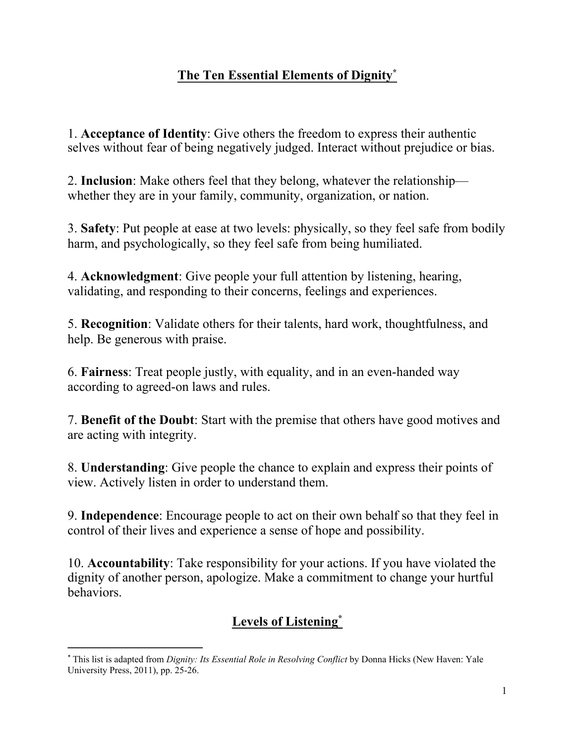# **The Ten Essential Elements of Dignity\***

1. **Acceptance of Identity**: Give others the freedom to express their authentic selves without fear of being negatively judged. Interact without prejudice or bias.

2. **Inclusion**: Make others feel that they belong, whatever the relationship whether they are in your family, community, organization, or nation.

3. **Safety**: Put people at ease at two levels: physically, so they feel safe from bodily harm, and psychologically, so they feel safe from being humiliated.

4. **Acknowledgment**: Give people your full attention by listening, hearing, validating, and responding to their concerns, feelings and experiences.

5. **Recognition**: Validate others for their talents, hard work, thoughtfulness, and help. Be generous with praise.

6. **Fairness**: Treat people justly, with equality, and in an even-handed way according to agreed-on laws and rules.

7. **Benefit of the Doubt**: Start with the premise that others have good motives and are acting with integrity.

8. **Understanding**: Give people the chance to explain and express their points of view. Actively listen in order to understand them.

9. **Independence**: Encourage people to act on their own behalf so that they feel in control of their lives and experience a sense of hope and possibility.

10. **Accountability**: Take responsibility for your actions. If you have violated the dignity of another person, apologize. Make a commitment to change your hurtful behaviors.

# **Levels of Listening\***

 

<sup>\*</sup> This list is adapted from *Dignity: Its Essential Role in Resolving Conflict* by Donna Hicks (New Haven: Yale University Press, 2011), pp. 25-26.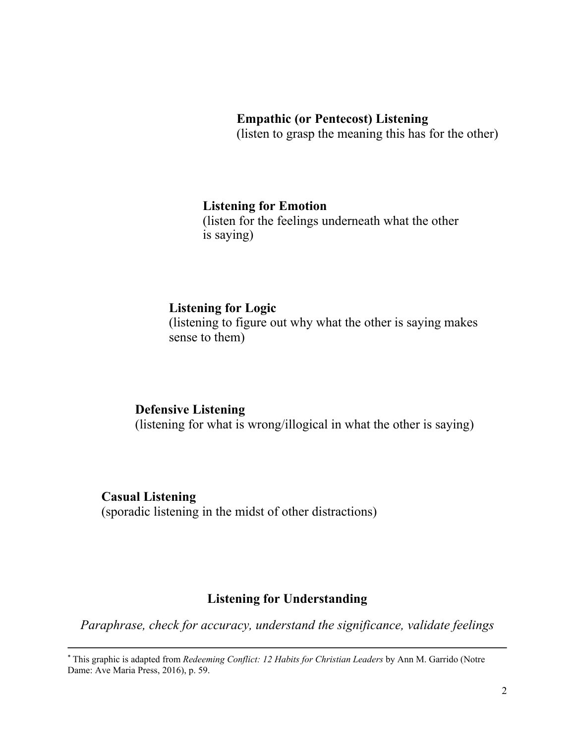#### **Empathic (or Pentecost) Listening**

(listen to grasp the meaning this has for the other)

#### **Listening for Emotion**

(listen for the feelings underneath what the other is saying)

### **Listening for Logic**

(listening to figure out why what the other is saying makes sense to them)

#### **Defensive Listening** (listening for what is wrong/illogical in what the other is saying)

## **Casual Listening** (sporadic listening in the midst of other distractions)

## **Listening for Understanding**

*Paraphrase, check for accuracy, understand the significance, validate feelings*

 

<sup>\*</sup> This graphic is adapted from *Redeeming Conflict: 12 Habits for Christian Leaders* by Ann M. Garrido (Notre Dame: Ave Maria Press, 2016), p. 59.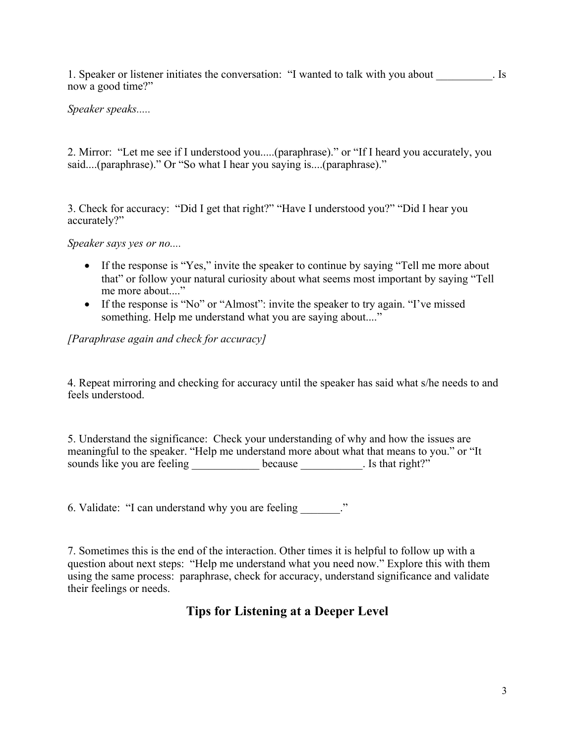1. Speaker or listener initiates the conversation: "I wanted to talk with you about list now a good time?"

#### *Speaker speaks.....*

2. Mirror: "Let me see if I understood you.....(paraphrase)." or "If I heard you accurately, you said....(paraphrase)." Or "So what I hear you saying is....(paraphrase)."

3. Check for accuracy: "Did I get that right?" "Have I understood you?" "Did I hear you accurately?"

*Speaker says yes or no....*

- If the response is "Yes," invite the speaker to continue by saying "Tell me more about that" or follow your natural curiosity about what seems most important by saying "Tell me more about...."
- If the response is "No" or "Almost": invite the speaker to try again. "I've missed something. Help me understand what you are saying about...."

*[Paraphrase again and check for accuracy]*

4. Repeat mirroring and checking for accuracy until the speaker has said what s/he needs to and feels understood.

5. Understand the significance: Check your understanding of why and how the issues are meaningful to the speaker. "Help me understand more about what that means to you." or "It sounds like you are feeling because **because** . Is that right?"

6. Validate: "I can understand why you are feeling  $\cdot$ "

7. Sometimes this is the end of the interaction. Other times it is helpful to follow up with a question about next steps: "Help me understand what you need now." Explore this with them using the same process: paraphrase, check for accuracy, understand significance and validate their feelings or needs.

### **Tips for Listening at a Deeper Level**